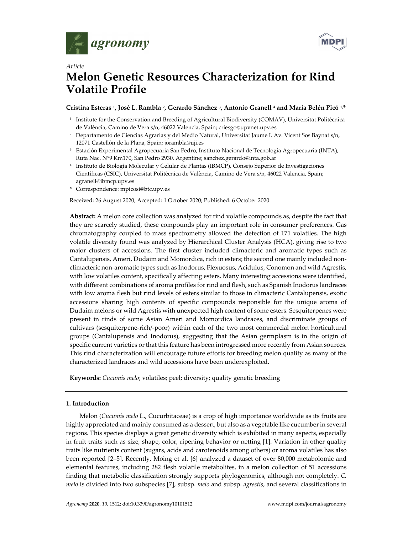



# *Article* **Melon Genetic Resources Characterization for Rind Volatile Profile**

# Cristina Esteras <sup>1</sup>, José L. Rambla <sup>2</sup>, Gerardo Sánchez <sup>3</sup>, Antonio Granell <sup>4</sup> and María Belén Picó <sup>1,\*</sup>

- <sup>1</sup> Institute for the Conservation and Breeding of Agricultural Biodiversity (COMAV), Universitat Politècnica de València, Camino de Vera s/n, 46022 Valencia, Spain; criesgo@upvnet.upv.es
- <sup>2</sup> Departamento de Ciencias Agrarias y del Medio Natural, Universitat Jaume I. Av. Vicent Sos Baynat s/n, 12071 Castellón de la Plana, Spain; jorambla@uji.es
- <sup>3</sup> Estación Experimental Agropecuaria San Pedro, Instituto Nacional de Tecnología Agropecuaria (INTA), Ruta Nac. N°9 Km170, San Pedro 2930, Argentine; sanchez.gerardo@inta.gob.ar
- <sup>4</sup> Instituto de Biología Molecular y Celular de Plantas (IBMCP), Consejo Superior de Investigaciones Científicas (CSIC), Universitat Politècnica de València, Camino de Vera s/n, 46022 Valencia, Spain; agranell@ibmcp.upv.es
- **\*** Correspondence: mpicosi@btc.upv.es

Received: 26 August 2020; Accepted: 1 October 2020; Published: 6 October 2020

**Abstract:** A melon core collection was analyzed for rind volatile compounds as, despite the fact that they are scarcely studied, these compounds play an important role in consumer preferences. Gas chromatography coupled to mass spectrometry allowed the detection of 171 volatiles. The high volatile diversity found was analyzed by Hierarchical Cluster Analysis (HCA), giving rise to two major clusters of accessions. The first cluster included climacteric and aromatic types such as Cantalupensis, Ameri, Dudaim and Momordica, rich in esters; the second one mainly included non‐ climacteric non‐aromatic types such as Inodorus, Flexuosus, Acidulus, Conomon and wild Agrestis, with low volatiles content, specifically affecting esters. Many interesting accessions were identified, with different combinations of aroma profiles for rind and flesh, such as Spanish Inodorus landraces with low aroma flesh but rind levels of esters similar to those in climacteric Cantalupensis, exotic accessions sharing high contents of specific compounds responsible for the unique aroma of Dudaim melons or wild Agrestis with unexpected high content of some esters. Sesquiterpenes were present in rinds of some Asian Ameri and Momordica landraces, and discriminate groups of cultivars (sesquiterpene‐rich/‐poor) within each of the two most commercial melon horticultural groups (Cantalupensis and Inodorus), suggesting that the Asian germplasm is in the origin of specific current varieties or that this feature has been introgressed more recently from Asian sources. This rind characterization will encourage future efforts for breeding melon quality as many of the characterized landraces and wild accessions have been underexploited.

**Keywords:** *Cucumis melo*; volatiles; peel; diversity; quality genetic breeding

# **1. Introduction**

Melon (*Cucumis melo* L., Cucurbitaceae) is a crop of high importance worldwide as its fruits are highly appreciated and mainly consumed as a dessert, but also as a vegetable like cucumber in several regions. This species displays a great genetic diversity which is exhibited in many aspects, especially in fruit traits such as size, shape, color, ripening behavior or netting [1]. Variation in other quality traits like nutrients content (sugars, acids and carotenoids among others) or aroma volatiles has also been reported [2–5]. Recently, Moing et al. [6] analyzed a dataset of over 80,000 metabolomic and elemental features, including 282 flesh volatile metabolites, in a melon collection of 51 accessions finding that metabolic classification strongly supports phylogenomics, although not completely. *C. melo* is divided into two subspecies [7], subsp. *melo* and subsp. *agrestis*, and several classifications in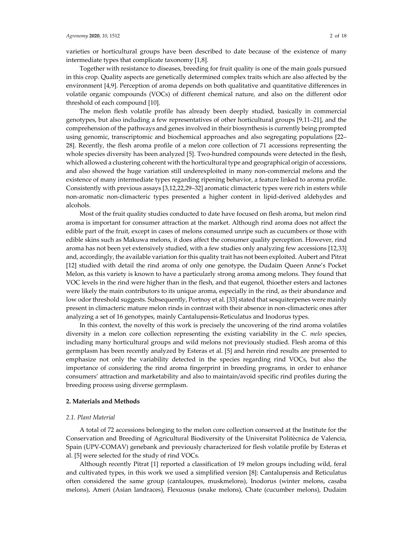varieties or horticultural groups have been described to date because of the existence of many intermediate types that complicate taxonomy [1,8].

Together with resistance to diseases, breeding for fruit quality is one of the main goals pursued in this crop. Quality aspects are genetically determined complex traits which are also affected by the environment [4,9]. Perception of aroma depends on both qualitative and quantitative differences in volatile organic compounds (VOCs) of different chemical nature, and also on the different odor threshold of each compound [10].

The melon flesh volatile profile has already been deeply studied, basically in commercial genotypes, but also including a few representatives of other horticultural groups [9,11–21], and the comprehension of the pathways and genes involved in their biosynthesis is currently being prompted using genomic, transcriptomic and biochemical approaches and also segregating populations [22– 28]. Recently, the flesh aroma profile of a melon core collection of 71 accessions representing the whole species diversity has been analyzed [5]. Two-hundred compounds were detected in the flesh, which allowed a clustering coherent with the horticultural type and geographical origin of accessions, and also showed the huge variation still underexploited in many non‐commercial melons and the existence of many intermediate types regarding ripening behavior, a feature linked to aroma profile. Consistently with previous assays [3,12,22,29–32] aromatic climacteric types were rich in esters while non‐aromatic non‐climacteric types presented a higher content in lipid‐derived aldehydes and alcohols.

Most of the fruit quality studies conducted to date have focused on flesh aroma, but melon rind aroma is important for consumer attraction at the market. Although rind aroma does not affect the edible part of the fruit, except in cases of melons consumed unripe such as cucumbers or those with edible skins such as Makuwa melons, it does affect the consumer quality perception. However, rind aroma has not been yet extensively studied, with a few studies only analyzing few accessions [12,33] and, accordingly, the available variation forthis quality trait has not been exploited. Aubert and Pitrat [12] studied with detail the rind aroma of only one genotype, the Dudaim Queen Anne's Pocket Melon, as this variety is known to have a particularly strong aroma among melons. They found that VOC levels in the rind were higher than in the flesh, and that eugenol, thioether esters and lactones were likely the main contributors to its unique aroma, especially in the rind, as their abundance and low odor threshold suggests. Subsequently, Portnoy et al. [33] stated that sesquiterpenes were mainly present in climacteric mature melon rinds in contrast with their absence in non‐climacteric ones after analyzing a set of 16 genotypes, mainly Cantalupensis‐Reticulatus and Inodorus types.

In this context, the novelty of this work is precisely the uncovering of the rind aroma volatiles diversity in a melon core collection representing the existing variability in the *C. melo* species, including many horticultural groups and wild melons not previously studied. Flesh aroma of this germplasm has been recently analyzed by Esteras et al. [5] and herein rind results are presented to emphasize not only the variability detected in the species regarding rind VOCs, but also the importance of considering the rind aroma fingerprint in breeding programs, in order to enhance consumers' attraction and marketability and also to maintain/avoid specific rind profiles during the breeding process using diverse germplasm.

### **2. Materials and Methods**

#### *2.1. Plant Material*

A total of 72 accessions belonging to the melon core collection conserved at the Institute for the Conservation and Breeding of Agricultural Biodiversity of the Universitat Politècnica de Valencia, Spain (UPV‐COMAV) genebank and previously characterized for flesh volatile profile by Esteras et al. [5] were selected for the study of rind VOCs.

Although recently Pitrat [1] reported a classification of 19 melon groups including wild, feral and cultivated types, in this work we used a simplified version [8]: Cantalupensis and Reticulatus often considered the same group (cantaloupes, muskmelons), Inodorus (winter melons, casaba melons), Ameri (Asian landraces), Flexuosus (snake melons), Chate (cucumber melons), Dudaim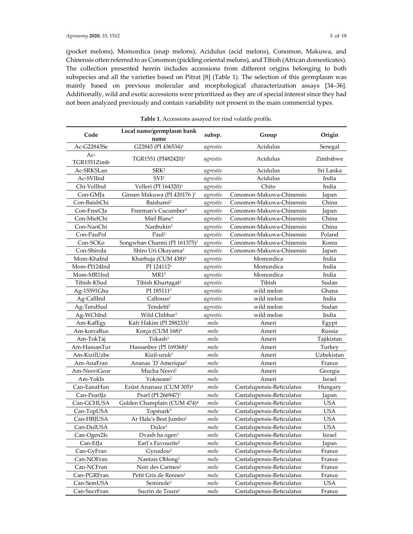(pocket melons), Momordica (snap melons), Acidulus (acid melons), Conomon, Makuwa, and Chinensis often referred to as Conomon (pickling oriental melons), and Tibish (African domesticates). The collection presented herein includes accessions from different origins belonging to both subspecies and all the varieties based on Pitrat [8] (Table 1). The selection of this germplasm was mainly based on previous molecular and morphological characterization assays [34–36]. Additionally, wild and exotic accessions were prioritized as they are of special interest since they had not been analyzed previously and contain variability not present in the main commercial types.

| Code               | Local name/germplasm bank<br>name        | subsp.   | Group                     | Origin     |
|--------------------|------------------------------------------|----------|---------------------------|------------|
| Ac-G22843Se        | G22843 (PI 436534) <sup>1</sup>          | agrestis | Acidulus                  | Senegal    |
| Ac-<br>TGR1551Zimb | TGR1551 (PI482420) <sup>1</sup>          | agrestis | Acidulus                  | Zimbabwe   |
| Ac-SRKSLan         | SRK <sup>2</sup>                         | agrestis | Acidulus                  | Sri Lanka  |
| Ac-SVIInd          | SVI <sup>2</sup>                         | agrestis | Acidulus                  | India      |
| Chi-VellInd        | Velleri (PI 164320) <sup>1</sup>         | agrestis | Chito                     | India      |
| Con-GMJa           | Ginsen Makuwa (PI 420176) <sup>1</sup>   | agrestis | Conomon-Makuwa-Chinensis  | Japan      |
| Con-BaishChi       | Baishami <sup>2</sup>                    | agrestis | Conomon-Makuwa-Chinensis  | China      |
| Con-FreeCJa        | Freeman's Cucumber <sup>3</sup>          | agrestis | Conomon-Makuwa-Chinensis  | Japan      |
| Con-MielChi        | Miel Blanc <sup>3</sup>                  | agrestis | Conomon-Makuwa-Chinensis  | China      |
| Con-NanChi         | Nanbukin <sup>2</sup>                    | agrestis | Conomon-Makuwa-Chinensis  | China      |
| Con-PauPol         | Paul <sup>2</sup>                        | agrestis | Conomon-Makuwa-Chinensis  | Poland     |
| Con-SCKo           | Songwhan Charmi (PI 161375) <sup>1</sup> | agrestis | Conomon-Makuwa-Chinensis  | Korea      |
| Con-ShiroJa        | Shiro Uri Okayama <sup>3</sup>           | agrestis | Conomon-Makuwa-Chinensis  | Japan      |
| Mom-KhaInd         | Kharbuja (CUM 438) <sup>4</sup>          | agrestis | Momordica                 | India      |
| Mom-PI124Ind       | PI 124112 <sup>1</sup>                   | agrestis | Momordica                 | India      |
| Mom-MR1Ind         | MR1 <sup>3</sup>                         | agrestis | Momordica                 | India      |
| Tibish-KSud        | Tibish Khurtagat <sup>2</sup>            | agrestis | Tibish                    | Sudan      |
| Ag-15591Gha        | PI 185111 <sup>1</sup>                   | agrestis | wild melon                | Ghana      |
| Ag-CallInd         | Callosus <sup>3</sup>                    | agrestis | wild melon                | India      |
| Ag-TendSud         | Tendelti <sup>2</sup>                    | agrestis | wild melon                | Sudan      |
| Ag-WChInd          | Wild Chibbar <sup>3</sup>                | agrestis | wild melon                | India      |
| Am-KafEgy          | Kafr Hakim (PI 288233) <sup>1</sup>      | melo     | Ameri                     | Egypt      |
| Am-korcaRus        | Korça (CUM 168) <sup>4</sup>             | melo     | Ameri                     | Russia     |
| Am-TokTaj          | Tokash <sup>3</sup>                      | melo     | Ameri                     | Tajikistan |
| Am-HassanTur       | Hassanbey (PI 169368) <sup>1</sup>       | melo     | Ameri                     | Turkey     |
| Am-KizilUzbe       | Kizil-uruk <sup>3</sup>                  | melo     | Ameri                     | Uzbekistan |
| Am-AnaFran         | Ananas 'D'Amerique <sup>2</sup>          | melo     | Ameri                     | France     |
| Am-NesviGeor       | Mucha Nesvi <sup>2</sup>                 | melo     | Ameri                     | Georgia    |
| Am-YokIs           | Yokneam <sup>2</sup>                     | melo     | Ameri                     | Israel     |
| Can-EanaHun        | Ezüst Ananasz (CUM 305) <sup>4</sup>     | melo     | Cantalupensis-Reticulatus | Hungary    |
| Can-PearlJa        | Pearl (PI 266947) <sup>1</sup>           | melo     | Cantalupensis-Reticulatus | Japan      |
| Can-GCHUSA         | Golden Champlain (CUM 474) <sup>4</sup>  | melo     | Cantalupensis-Reticulatus | <b>USA</b> |
| Can-TopUSA         | Topmark <sup>3</sup>                     | melo     | Cantalupensis-Reticulatus | <b>USA</b> |
| Can-HBJUSA         | Ar Hale's Best Jumbo <sup>2</sup>        | melo     | Cantalupensis-Reticulatus | <b>USA</b> |
| Can-DulUSA         | Dulce <sup>3</sup>                       | melo     | Cantalupensis-Reticulatus | USA        |
| Can-Ogen2Is        | Dvash ha ogen <sup>3</sup>               | melo     | Cantalupensis-Reticulatus | Israel     |
| Can-EfJa           | Earl's Favourite <sup>2</sup>            | melo     | Cantalupensis-Reticulatus | Japan      |
| Can-GyFran         | Gynadou <sup>2</sup>                     | melo     | Cantalupensis-Reticulatus | France     |
| Can-NOFran         | Nantais Oblong <sup>2</sup>              | melo     | Cantalupensis-Reticulatus | France     |
| Can-NCFran         | Noir des Carmes <sup>3</sup>             | melo     | Cantalupensis-Reticulatus | France     |
| Can-PGRFran        | Petit Gris de Rennes <sup>3</sup>        | melo     | Cantalupensis-Reticulatus | France     |
| Can-SemUSA         | Seminole <sup>3</sup>                    | melo     | Cantalupensis-Reticulatus | USA        |
| Can-SucrFran       | Sucrin de Tours <sup>2</sup>             | melo     | Cantalupensis-Reticulatus | France     |

**Table 1.** Accessions assayed for rind volatile profile.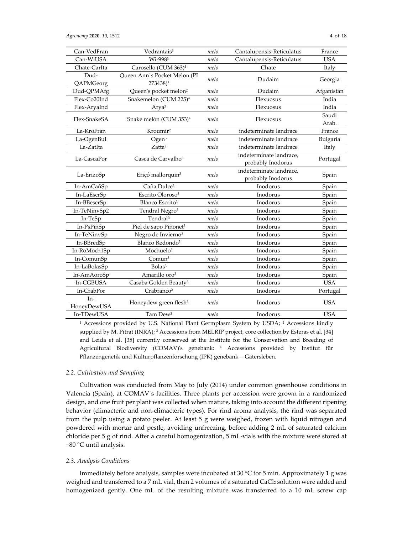| Can-VedFran          | Vedrantais <sup>3</sup>                              | melo | Cantalupensis-Reticulatus                    | France         |
|----------------------|------------------------------------------------------|------|----------------------------------------------|----------------|
| Can-WiUSA            | Wi-9983                                              | melo | Cantalupensis-Reticulatus                    | <b>USA</b>     |
| Chate-CarIta         | Carosello (CUM 363) <sup>4</sup>                     | melo | Chate                                        | Italy          |
| Dud-<br>QAPMGeorg    | Queen Ann's Pocket Melon (PI<br>273438) <sup>1</sup> | melo | Dudaim                                       | Georgia        |
| Dud-QPMAfg           | Queen's pocket melon <sup>2</sup>                    | melo | Dudaim                                       | Afganistan     |
| Flex-Co20Ind         | Snakemelon (CUM 225) <sup>4</sup>                    | melo | Flexuosus                                    | India          |
| Flex-AryaInd         | Arya <sup>3</sup>                                    | melo | Flexuosus                                    | India          |
| Flex-SnakeSA         | Snake melón (CUM 353) <sup>4</sup>                   | melo | Flexuosus                                    | Saudi<br>Arab. |
| La-KroFran           | Kroumir <sup>2</sup>                                 | melo | indeterminate landrace                       | France         |
| La-OgenBul           | Ogen <sup>3</sup>                                    | melo | indeterminate landrace                       | Bulgaria       |
| La-ZatIta            | Zatta <sup>2</sup>                                   | melo | indeterminate landrace                       | Italy          |
| La-CascaPor          | Casca de Carvalho <sup>3</sup>                       | melo | indeterminate landrace,<br>probably Inodorus | Portugal       |
| La-ErizoSp           | Eriçó mallorquin <sup>3</sup>                        | melo | indeterminate landrace,<br>probably Inodorus | Spain          |
| In-AmCañSp           | Caña Dulce <sup>3</sup>                              | melo | Inodorus                                     | Spain          |
| In-LaEscrSp          | Escrito Oloroso <sup>3</sup>                         | melo | Inodorus                                     | Spain          |
| In-BBescrSp          | Blanco Escrito <sup>3</sup>                          | melo | Inodorus                                     | Spain          |
| In-TeNinvSp2         | Tendral Negro <sup>3</sup>                           | melo | Inodorus                                     | Spain          |
| In-TeSp              | Tendral <sup>3</sup>                                 | melo | Inodorus                                     | Spain          |
| In-PsPiñSp           | Piel de sapo Piñonet <sup>3</sup>                    | melo | Inodorus                                     | Spain          |
| In-TeNinvSp          | Negro de Invierno <sup>3</sup>                       | melo | Inodorus                                     | Spain          |
| In-BBredSp           | Blanco Redondo <sup>3</sup>                          | melo | Inodorus                                     | Spain          |
| In-RoMoch1Sp         | Mochuelo <sup>3</sup>                                | melo | Inodorus                                     | Spain          |
| In-ComunSp           | Comun <sup>3</sup>                                   | melo | Inodorus                                     | Spain          |
| In-LaBolasSp         | Bolas <sup>3</sup>                                   | melo | Inodorus                                     | Spain          |
| In-AmAoroSp          | Amarillo oro <sup>3</sup>                            | melo | Inodorus                                     | Spain          |
| In-CGBUSA            | Casaba Golden Beauty <sup>3</sup>                    | melo | Inodorus                                     | <b>USA</b>     |
| In-CrabPor           | Crabranco <sup>2</sup>                               | melo | Inodorus                                     | Portugal       |
| $In-$<br>HoneyDewUSA | Honeydew green flesh <sup>3</sup>                    | melo | Inodorus                                     | <b>USA</b>     |
| In-TDewUSA           | Tam Dew <sup>3</sup>                                 | melo | Inodorus                                     | <b>USA</b>     |

<sup>1</sup> Accessions provided by U.S. National Plant Germplasm System by USDA; <sup>2</sup> Accessions kindly supplied by M. Pitrat (INRA); <sup>3</sup> Accessions from MELRIP project, core collection by Esteras et al. [34] and Leida et al. [35] currently conserved at the Institute for the Conservation and Breeding of Agricultural Biodiversity (COMAV)'s genebank; <sup>4</sup> Accessions provided by Institut für Pflanzengenetik und Kulturpflanzenforschung (IPK) genebank—Gatersleben.

## *2.2. Cultivation and Sampling*

Cultivation was conducted from May to July (2014) under common greenhouse conditions in Valencia (Spain), at COMAV´s facilities. Three plants per accession were grown in a randomized design, and one fruit per plant was collected when mature, taking into account the different ripening behavior (climacteric and non‐climacteric types). For rind aroma analysis, the rind was separated from the pulp using a potato peeler. At least 5 g were weighed, frozen with liquid nitrogen and powdered with mortar and pestle, avoiding unfreezing, before adding 2 mL of saturated calcium chloride per 5 g of rind. After a careful homogenization, 5 mL‐vials with the mixture were stored at −80 °C until analysis.

# *2.3. Analysis Conditions*

Immediately before analysis, samples were incubated at 30 °C for 5 min. Approximately 1 g was weighed and transferred to a 7 mL vial, then 2 volumes of a saturated CaCl2 solution were added and homogenized gently. One mL of the resulting mixture was transferred to a 10 mL screw cap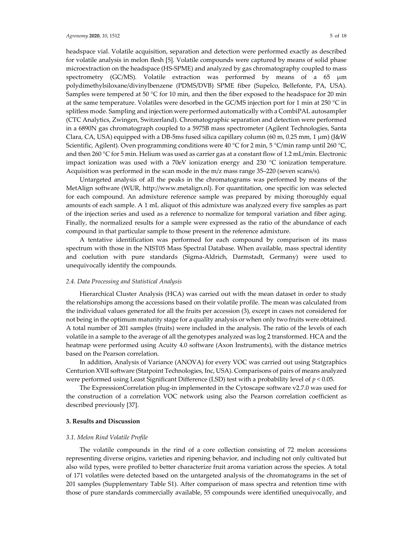headspace vial. Volatile acquisition, separation and detection were performed exactly as described for volatile analysis in melon flesh [5]. Volatile compounds were captured by means of solid phase microextraction on the headspace (HS‐SPME) and analyzed by gas chromatography coupled to mass spectrometry (GC/MS). Volatile extraction was performed by means of a 65 μm polydimethylsiloxane/divinylbenzene (PDMS/DVB) SPME fiber (Supelco, Bellefonte, PA, USA). Samples were tempered at 50 °C for 10 min, and then the fiber exposed to the headspace for 20 min at the same temperature. Volatiles were desorbed in the GC/MS injection port for 1 min at 250 °C in splitless mode. Sampling and injection were performed automatically with a CombiPAL autosampler (CTC Analytics, Zwingen, Switzerland). Chromatographic separation and detection were performed in a 6890N gas chromatograph coupled to a 5975B mass spectrometer (Agilent Technologies, Santa Clara, CA, USA) equipped with a DB-5ms fused silica capillary column (60 m, 0.25 mm, 1  $\mu$ m) (J&W) Scientific, Agilent). Oven programming conditions were 40 °C for 2 min, 5 °C/min ramp until 260 °C, and then 260 °C for 5 min. Helium was used as carrier gas at a constant flow of 1.2 mL/min. Electronic impact ionization was used with a 70eV ionization energy and 230 °C ionization temperature. Acquisition was performed in the scan mode in the m/z mass range 35–220 (seven scans/s).

Untargeted analysis of all the peaks in the chromatograms was performed by means of the MetAlign software (WUR, http://www.metalign.nl). For quantitation, one specific ion was selected for each compound. An admixture reference sample was prepared by mixing thoroughly equal amounts of each sample. A 1 mL aliquot of this admixture was analyzed every five samples as part of the injection series and used as a reference to normalize for temporal variation and fiber aging. Finally, the normalized results for a sample were expressed as the ratio of the abundance of each compound in that particular sample to those present in the reference admixture.

A tentative identification was performed for each compound by comparison of its mass spectrum with those in the NIST05 Mass Spectral Database. When available, mass spectral identity and coelution with pure standards (Sigma‐Aldrich, Darmstadt, Germany) were used to unequivocally identify the compounds.

# *2.4. Data Processing and Statistical Analysis*

Hierarchical Cluster Analysis (HCA) was carried out with the mean dataset in order to study the relationships among the accessions based on their volatile profile. The mean was calculated from the individual values generated for all the fruits per accession (3), except in cases not considered for not being in the optimum maturity stage for a quality analysis or when only two fruits were obtained. A total number of 201 samples (fruits) were included in the analysis. The ratio of the levels of each volatile in a sample to the average of all the genotypes analyzed was log 2 transformed. HCA and the heatmap were performed using Acuity 4.0 software (Axon Instruments), with the distance metrics based on the Pearson correlation.

In addition, Analysis of Variance (ANOVA) for every VOC was carried out using Statgraphics Centurion XVII software (Statpoint Technologies, Inc, USA). Comparisons of pairs of means analyzed were performed using Least Significant Difference (LSD) test with a probability level of *p <* 0.05.

The ExpressionCorrelation plug‐in implemented in the Cytoscape software v2.7.0 was used for the construction of a correlation VOC network using also the Pearson correlation coefficient as described previously [37].

#### **3. Results and Discussion**

#### *3.1. Melon Rind Volatile Profile*

The volatile compounds in the rind of a core collection consisting of 72 melon accessions representing diverse origins, varieties and ripening behavior, and including not only cultivated but also wild types, were profiled to better characterize fruit aroma variation across the species. A total of 171 volatiles were detected based on the untargeted analysis of the chromatograms in the set of 201 samples (Supplementary Table S1). After comparison of mass spectra and retention time with those of pure standards commercially available, 55 compounds were identified unequivocally, and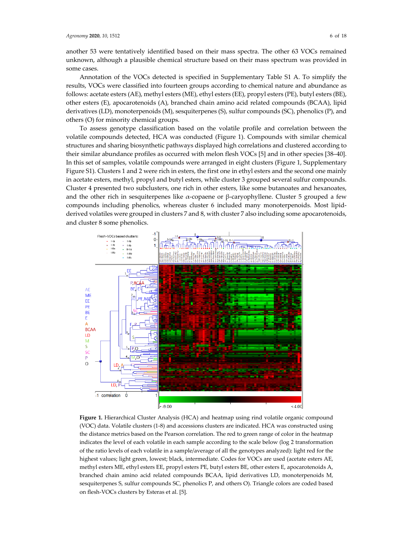another 53 were tentatively identified based on their mass spectra. The other 63 VOCs remained unknown, although a plausible chemical structure based on their mass spectrum was provided in some cases.

Annotation of the VOCs detected is specified in Supplementary Table S1 A. To simplify the results, VOCs were classified into fourteen groups according to chemical nature and abundance as follows: acetate esters (AE), methyl esters (ME), ethyl esters (EE), propyl esters (PE), butyl esters (BE), other esters (E), apocarotenoids (A), branched chain amino acid related compounds (BCAA), lipid derivatives (LD), monoterpenoids (M), sesquiterpenes (S), sulfur compounds (SC), phenolics (P), and others (O) for minority chemical groups.

To assess genotype classification based on the volatile profile and correlation between the volatile compounds detected, HCA was conducted (Figure 1). Compounds with similar chemical structures and sharing biosynthetic pathways displayed high correlations and clustered according to their similar abundance profiles as occurred with melon flesh VOCs [5] and in other species [38–40]. In this set of samples, volatile compounds were arranged in eight clusters (Figure 1, Supplementary Figure S1). Clusters 1 and 2 were rich in esters, the first one in ethyl esters and the second one mainly in acetate esters, methyl, propyl and butyl esters, while cluster 3 grouped several sulfur compounds. Cluster 4 presented two subclusters, one rich in other esters, like some butanoates and hexanoates, and the other rich in sesquiterpenes like  $α$ -copaene or  $β$ -caryophyllene. Cluster 5 grouped a few compounds including phenolics, whereas cluster 6 included many monoterpenoids. Most lipid‐ derived volatiles were grouped in clusters 7 and 8, with cluster 7 also including some apocarotenoids, and cluster 8 some phenolics.



**Figure 1.** Hierarchical Cluster Analysis (HCA) and heatmap using rind volatile organic compound (VOC) data. Volatile clusters (1‐8) and accessions clusters are indicated. HCA was constructed using the distance metrics based on the Pearson correlation. The red to green range of color in the heatmap indicates the level of each volatile in each sample according to the scale below (log 2 transformation of the ratio levels of each volatile in a sample/average of all the genotypes analyzed): light red for the highest values; light green, lowest; black, intermediate. Codes for VOCs are used (acetate esters AE, methyl esters ME, ethyl esters EE, propyl esters PE, butyl esters BE, other esters E, apocarotenoids A, branched chain amino acid related compounds BCAA, lipid derivatives LD, monoterpenoids M, sesquiterpenes S, sulfur compounds SC, phenolics P, and others O). Triangle colors are coded based on flesh‐VOCs clusters by Esteras et al. [5].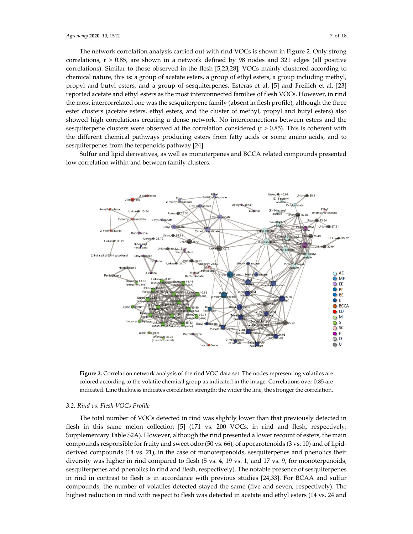The network correlation analysis carried out with rind VOCs is shown in Figure 2. Only strong correlations,  $r > 0.85$ , are shown in a network defined by 98 nodes and 321 edges (all positive correlations). Similar to those observed in the flesh [5,23,28], VOCs mainly clustered according to chemical nature, this is: a group of acetate esters, a group of ethyl esters, a group including methyl, propyl and butyl esters, and a group of sesquiterpenes. Esteras et al. [5] and Freilich et al. [23] reported acetate and ethyl esters as the most interconnected families of flesh VOCs. However, in rind the most intercorrelated one was the sesquiterpene family (absent in flesh profile), although the three ester clusters (acetate esters, ethyl esters, and the cluster of methyl, propyl and butyl esters) also showed high correlations creating a dense network. No interconnections between esters and the sesquiterpene clusters were observed at the correlation considered  $(r > 0.85)$ . This is coherent with the different chemical pathways producing esters from fatty acids or some amino acids, and to sesquiterpenes from the terpenoids pathway [24].

Sulfur and lipid derivatives, as well as monoterpenes and BCCA related compounds presented low correlation within and between family clusters.



**Figure 2.** Correlation network analysis of the rind VOC data set. The nodes representing volatiles are colored according to the volatile chemical group as indicated in the image. Correlations over 0.85 are indicated. Line thickness indicates correlation strength: the wider the line, the stronger the correlation.

#### *3.2. Rind vs. Flesh VOCs Profile*

The total number of VOCs detected in rind was slightly lower than that previously detected in flesh in this same melon collection [5] (171 vs. 200 VOCs, in rind and flesh, respectively; Supplementary Table S2A). However, although the rind presented a lower recount of esters, the main compounds responsible for fruity and sweet odor (50 vs. 66), of apocarotenoids (3 vs. 10) and of lipid‐ derived compounds (14 vs. 21), in the case of monoterpenoids, sesquiterpenes and phenolics their diversity was higher in rind compared to flesh (5 vs. 4, 19 vs. 1, and 17 vs. 9, for monoterpenoids, sesquiterpenes and phenolics in rind and flesh, respectively). The notable presence of sesquiterpenes in rind in contrast to flesh is in accordance with previous studies [24,33]. For BCAA and sulfur compounds, the number of volatiles detected stayed the same (five and seven, respectively). The highest reduction in rind with respect to flesh was detected in acetate and ethyl esters (14 vs. 24 and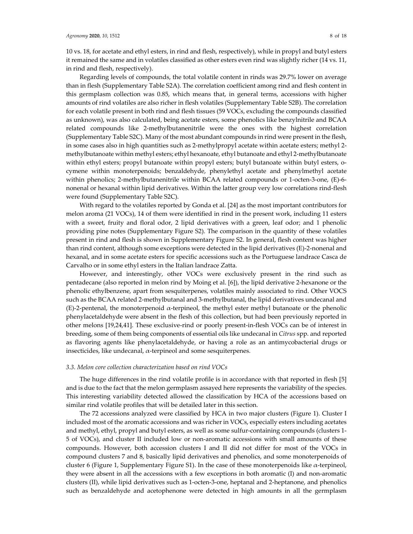10 vs. 18, for acetate and ethyl esters, in rind and flesh, respectively), while in propyl and butyl esters it remained the same and in volatiles classified as other esters even rind was slightly richer (14 vs. 11, in rind and flesh, respectively).

Regarding levels of compounds, the total volatile content in rinds was 29.7% lower on average than in flesh (Supplementary Table S2A). The correlation coefficient among rind and flesh content in this germplasm collection was 0.85, which means that, in general terms, accessions with higher amounts of rind volatiles are also richer in flesh volatiles (Supplementary Table S2B). The correlation for each volatile present in both rind and flesh tissues (59 VOCs, excluding the compounds classified as unknown), was also calculated, being acetate esters, some phenolics like benzylnitrile and BCAA related compounds like 2‐methylbutanenitrile were the ones with the highest correlation (Supplementary Table S2C). Many of the most abundant compounds in rind were present in the flesh, in some cases also in high quantities such as 2-methylpropyl acetate within acetate esters; methyl 2– methylbutanoate within methyl esters; ethyl hexanoate, ethyl butanoate and ethyl 2‐methylbutanoate within ethyl esters; propyl butanoate within propyl esters; butyl butanoate within butyl esters, ocymene within monoterpenoids; benzaldehyde, phenylethyl acetate and phenylmethyl acetate within phenolics; 2-methylbutanenitrile within BCAA related compounds or 1-octen-3-one, (E)-6nonenal or hexanal within lipid derivatives. Within the latter group very low correlations rind‐flesh were found (Supplementary Table S2C).

With regard to the volatiles reported by Gonda et al. [24] as the most important contributors for melon aroma (21 VOCs), 14 of them were identified in rind in the present work, including 11 esters with a sweet, fruity and floral odor, 2 lipid derivatives with a green, leaf odor; and 1 phenolic providing pine notes (Supplementary Figure S2). The comparison in the quantity of these volatiles present in rind and flesh is shown in Supplementary Figure S2. In general, flesh content was higher than rind content, although some exceptions were detected in the lipid derivatives (E)‐2‐nonenal and hexanal, and in some acetate esters for specific accessions such as the Portuguese landrace Casca de Carvalho or in some ethyl esters in the Italian landrace Zatta.

However, and interestingly, other VOCs were exclusively present in the rind such as pentadecane (also reported in melon rind by Moing et al. [6]), the lipid derivative 2‐hexanone or the phenolic ethylbenzene, apart from sesquiterpenes, volatiles mainly associated to rind. Other VOCS such as the BCAA related 2-methylbutanal and 3-methylbutanal, the lipid derivatives undecanal and  $(E)$ -2-pentenal, the monoterpenoid  $\alpha$ -terpineol, the methyl ester methyl butanoate or the phenolic phenylacetaldehyde were absent in the flesh of this collection, but had been previously reported in other melons [19,24,41]. These exclusive‐rind or poorly present‐in‐flesh VOCs can be of interest in breeding, some of them being components of essential oils like undecanal in *Citrus* spp. and reported as flavoring agents like phenylacetaldehyde, or having a role as an antimycobacterial drugs or insecticides, like undecanal,  $\alpha$ -terpineol and some sesquiterpenes.

# *3.3. Melon core collection characterization based on rind VOCs*

The huge differences in the rind volatile profile is in accordance with that reported in flesh [5] and is due to the fact that the melon germplasm assayed here represents the variability of the species. This interesting variability detected allowed the classification by HCA of the accessions based on similar rind volatile profiles that will be detailed later in this section.

The 72 accessions analyzed were classified by HCA in two major clusters (Figure 1). Cluster I included most of the aromatic accessions and was richer in VOCs, especially esters including acetates and methyl, ethyl, propyl and butyl esters, as well as some sulfur‐containing compounds (clusters 1‐ 5 of VOCs), and cluster II included low or non‐aromatic accessions with small amounts of these compounds. However, both accession clusters I and II did not differ for most of the VOCs in compound clusters 7 and 8, basically lipid derivatives and phenolics, and some monoterpenoids of cluster 6 (Figure 1, Supplementary Figure S1). In the case of these monoterpenoids like  $\alpha$ -terpineol, they were absent in all the accessions with a few exceptions in both aromatic (I) and non-aromatic clusters (II), while lipid derivatives such as 1‐octen‐3‐one, heptanal and 2‐heptanone, and phenolics such as benzaldehyde and acetophenone were detected in high amounts in all the germplasm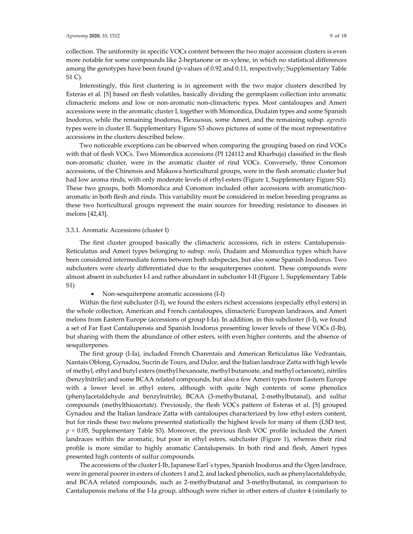collection. The uniformity in specific VOCs content between the two major accession clusters is even more notable for some compounds like 2-heptanone or m-xylene, in which no statistical differences among the genotypes have been found (p-values of 0.92 and 0.11, respectively; Supplementary Table S1 C).

Interestingly, this first clustering is in agreement with the two major clusters described by Esteras et al. [5] based on flesh volatiles, basically dividing the germplasm collection into aromatic climacteric melons and low or non‐aromatic non‐climacteric types. Most cantaloupes and Ameri accessions were in the aromatic cluster I, together with Momordica, Dudaim types and some Spanish Inodorus, while the remaining Inodorus, Flexuosus, some Ameri, and the remaining subsp. *agrestis* types were in cluster II. Supplementary Figure S3 shows pictures of some of the most representative accessions in the clusters described below.

Two noticeable exceptions can be observed when comparing the grouping based on rind VOCs with that of flesh VOCs. Two Momordica accessions (PI 124112 and Kharbuja) classified in the flesh non‐aromatic cluster, were in the aromatic cluster of rind VOCs. Conversely, three Conomon accessions, of the Chinensis and Makuwa horticultural groups, were in the flesh aromatic cluster but had low aroma rinds, with only moderate levels of ethyl esters (Figure 1, Supplementary Figure S1). These two groups, both Momordica and Conomon included other accessions with aromatic/nonaromatic in both flesh and rinds. This variability must be considered in melon breeding programs as these two horticultural groups represent the main sources for breeding resistance to diseases in melons [42,43].

## 3.3.1. Aromatic Accessions (cluster I)

The first cluster grouped basically the climacteric accessions, rich in esters: Cantalupensis-Reticulatus and Ameri types belonging to subsp. *melo*, Dudaim and Momordica types which have been considered intermediate forms between both subspecies, but also some Spanish Inodorus. Two subclusters were clearly differentiated due to the sesquiterpenes content. These compounds were almost absent in subcluster I‐I and rather abundant in subcluster I‐II (Figure 1, Supplementary Table S1)

• Non-sesquiterpene aromatic accessions (I-I)

Within the first subcluster (I‐I), we found the esters richest accessions (especially ethyl esters) in the whole collection, American and French cantaloupes, climacteric European landraces, and Ameri melons from Eastern Europe (accessions of group I‐Ia). In addition, in this subcluster (I‐I), we found a set of Far East Cantalupensis and Spanish Inodorus presenting lower levels of these VOCs (I‐Ib), but sharing with them the abundance of other esters, with even higher contents, and the absence of sesquiterpenes.

The first group (I‐Ia), included French Charentais and American Reticulatus like Vedrantais, Nantais Oblong, Gynadou, Sucrin de Tours, and Dulce, and the Italian landrace Zatta with high levels of methyl, ethyl and butyl esters (methyl hexanoate, methyl butanoate, and methyl octanoate), nitriles (benzylnitrile) and some BCAA related compounds, but also a few Ameri types from Eastern Europe with a lower level in ethyl esters, although with quite high contents of some phenolics (phenylacetaldehyde and benzylnitrile), BCAA (3‐methylbutanal, 2‐methylbutanal), and sulfur compounds (methylthioacetate). Previously, the flesh VOCs pattern of Esteras et al. [5] grouped Gynadou and the Italian landrace Zatta with cantaloupes characterized by low ethyl esters content, but for rinds these two melons presented statistically the highest levels for many of them (LSD test, *p <* 0.05, Supplementary Table S3). Moreover, the previous flesh VOC profile included the Ameri landraces within the aromatic, but poor in ethyl esters, subcluster (Figure 1), whereas their rind profile is more similar to highly aromatic Cantalupensis. In both rind and flesh, Ameri types presented high contents of sulfur compounds.

The accessions of the cluster I-Ib, Japanese Earl's types, Spanish Inodorus and the Ogen landrace, were in general poorer in esters of clusters 1 and 2, and lacked phenolics, such as phenylacetaldehyde, and BCAA related compounds, such as 2‐methylbutanal and 3‐methylbutanal, in comparison to Cantalupensis melons of the I‐Ia group, although were richer in other esters of cluster 4 (similarly to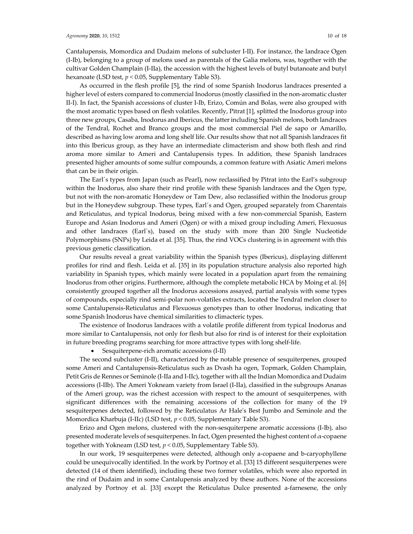Cantalupensis, Momordica and Dudaim melons of subcluster I‐II). For instance, the landrace Ogen (I‐Ib), belonging to a group of melons used as parentals of the Galia melons, was, together with the cultivar Golden Champlain (I‐IIa), the accession with the highest levels of butyl butanoate and butyl hexanoate (LSD test, *p <* 0.05, Supplementary Table S3).

As occurred in the flesh profile [5], the rind of some Spanish Inodorus landraces presented a higher level of esters compared to commercial Inodorus (mostly classified in the non-aromatic cluster II‐I). In fact, the Spanish accessions of cluster I‐Ib, Erizo, Común and Bolas, were also grouped with the most aromatic types based on flesh volatiles. Recently, Pitrat [1], splitted the Inodorus group into three new groups, Casaba, Inodorus and Ibericus, the latter including Spanish melons, both landraces of the Tendral, Rochet and Branco groups and the most commercial Piel de sapo or Amarillo, described as having low aroma and long shelf life. Our results show that not all Spanish landraces fit into this Ibericus group, as they have an intermediate climacterism and show both flesh and rind aroma more similar to Ameri and Cantalupensis types. In addition, these Spanish landraces presented higher amounts of some sulfur compounds, a common feature with Asiatic Ameri melons that can be in their origin.

The Earl´s types from Japan (such as Pearl), now reclassified by Pitrat into the Earl's subgroup within the Inodorus, also share their rind profile with these Spanish landraces and the Ogen type, but not with the non‐aromatic Honeydew or Tam Dew, also reclassified within the Inodorus group but in the Honeydew subgroup. These types, Earl´s and Ogen, grouped separately from Charentais and Reticulatus, and typical Inodorus, being mixed with a few non‐commercial Spanish, Eastern Europe and Asian Inodorus and Ameri (Ogen) or with a mixed group including Ameri, Flexuosus and other landraces (Earl´s), based on the study with more than 200 Single Nucleotide Polymorphisms (SNPs) by Leida et al. [35]. Thus, the rind VOCs clustering is in agreement with this previous genetic classification.

Our results reveal a great variability within the Spanish types (Ibericus), displaying different profiles for rind and flesh. Leida et al. [35] in its population structure analysis also reported high variability in Spanish types, which mainly were located in a population apart from the remaining Inodorus from other origins. Furthermore, although the complete metabolic HCA by Moing et al. [6] consistently grouped together all the Inodorus accessions assayed, partial analysis with some types of compounds, especially rind semi‐polar non‐volatiles extracts, located the Tendral melon closer to some Cantalupensis-Reticulatus and Flexuosus genotypes than to other Inodorus, indicating that some Spanish Inodorus have chemical similarities to climacteric types.

The existence of Inodorus landraces with a volatile profile different from typical Inodorus and more similar to Cantalupensis, not only for flesh but also for rind is of interest for their exploitation in future breeding programs searching for more attractive types with long shelf‐life.

● Sesquiterpene-rich aromatic accessions (I-II)

The second subcluster (I-II), characterized by the notable presence of sesquiterpenes, grouped some Ameri and Cantalupensis‐Reticulatus such as Dvash ha ogen, Topmark, Golden Champlain, Petit Gris de Rennes or Seminole (I‐IIa and I‐IIc), together with all the Indian Momordica and Dudaim accessions (I‐IIb). The Ameri Yokneam variety from Israel (I‐IIa), classified in the subgroups Ananas of the Ameri group, was the richest accession with respect to the amount of sesquiterpenes, with significant differences with the remaining accessions of the collection for many of the 19 sesquiterpenes detected, followed by the Reticulatus Ar Haleʹs Best Jumbo and Seminole and the Momordica Kharbuja (I‐IIc) (LSD test, *p <* 0.05, Supplementary Table S3).

Erizo and Ogen melons, clustered with the non‐sesquiterpene aromatic accessions (I‐Ib), also presented moderate levels of sesquiterpenes. In fact, Ogen presented the highest content of  $α$ -copaene together with Yokneam (LSD test, *p <* 0.05, Supplementary Table S3).

In our work, 19 sesquiterpenes were detected, although only a-copaene and b-caryophyllene could be unequivocally identified. In the work by Portnoy et al. [33] 15 different sesquiterpenes were detected (14 of them identified), including these two former volatiles, which were also reported in the rind of Dudaim and in some Cantalupensis analyzed by these authors. None of the accessions analyzed by Portnoy et al. [33] except the Reticulatus Dulce presented a‐farnesene, the only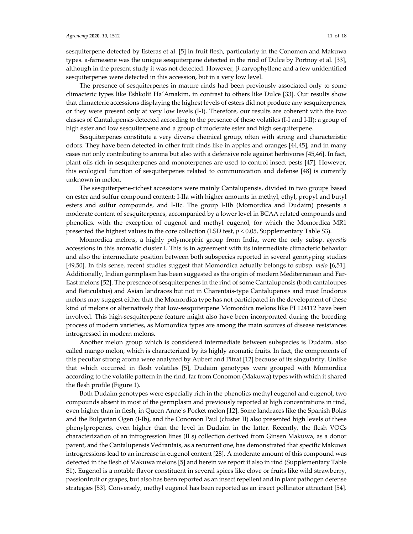sesquiterpene detected by Esteras et al. [5] in fruit flesh, particularly in the Conomon and Makuwa types. a‐farnesene was the unique sesquiterpene detected in the rind of Dulce by Portnoy et al. [33], although in the present study it was not detected. However, β‐caryophyllene and a few unidentified sesquiterpenes were detected in this accession, but in a very low level.

The presence of sesquiterpenes in mature rinds had been previously associated only to some climacteric types like Eshkolit Ha´Amakim, in contrast to others like Dulce [33]. Our results show that climacteric accessions displaying the highest levels of esters did not produce any sesquiterpenes, or they were present only at very low levels (I‐I). Therefore, our results are coherent with the two classes of Cantalupensis detected according to the presence of these volatiles (I‐I and I‐II): a group of high ester and low sesquiterpene and a group of moderate ester and high sesquiterpene.

Sesquiterpenes constitute a very diverse chemical group, often with strong and characteristic odors. They have been detected in other fruit rinds like in apples and oranges [44,45], and in many cases not only contributing to aroma but also with a defensive role against herbivores [45,46]. In fact, plant oils rich in sesquiterpenes and monoterpenes are used to control insect pests [47]. However, this ecological function of sesquiterpenes related to communication and defense [48] is currently unknown in melon.

The sesquiterpene‐richest accessions were mainly Cantalupensis, divided in two groups based on ester and sulfur compound content: I‐IIa with higher amounts in methyl, ethyl, propyl and butyl esters and sulfur compounds, and I‐IIc. The group I‐IIb (Momordica and Dudaim) presents a moderate content of sesquiterpenes, accompanied by a lower level in BCAA related compounds and phenolics, with the exception of eugenol and methyl eugenol, for which the Momordica MR1 presented the highest values in the core collection (LSD test, *p <* 0.05, Supplementary Table S3).

Momordica melons, a highly polymorphic group from India, were the only subsp. *agrestis* accessions in this aromatic cluster I. This is in agreement with its intermediate climacteric behavior and also the intermediate position between both subspecies reported in several genotyping studies [49,50]. In this sense, recent studies suggest that Momordica actually belongs to subsp. *melo* [6,51]. Additionally, Indian germplasm has been suggested as the origin of modern Mediterranean and Far‐ East melons [52]. The presence of sesquiterpenes in the rind of some Cantalupensis (both cantaloupes and Reticulatus) and Asian landraces but not in Charentais‐type Cantalupensis and most Inodorus melons may suggest either that the Momordica type has not participated in the development of these kind of melons or alternatively that low-sesquiterpene Momordica melons like PI 124112 have been involved. This high‐sesquiterpene feature might also have been incorporated during the breeding process of modern varieties, as Momordica types are among the main sources of disease resistances introgressed in modern melons.

Another melon group which is considered intermediate between subspecies is Dudaim, also called mango melon, which is characterized by its highly aromatic fruits. In fact, the components of this peculiar strong aroma were analyzed by Aubert and Pitrat [12] because of its singularity. Unlike that which occurred in flesh volatiles [5], Dudaim genotypes were grouped with Momordica according to the volatile pattern in the rind, far from Conomon (Makuwa) types with which it shared the flesh profile (Figure 1).

Both Dudaim genotypes were especially rich in the phenolics methyl eugenol and eugenol, two compounds absent in most of the germplasm and previously reported at high concentrations in rind, even higher than in flesh, in Queen Anne´s Pocket melon [12]. Some landraces like the Spanish Bolas and the Bulgarian Ogen (I‐Ib), and the Conomon Paul (cluster II) also presented high levels of these phenylpropenes, even higher than the level in Dudaim in the latter. Recently, the flesh VOCs characterization of an introgression lines (ILs) collection derived from Ginsen Makuwa, as a donor parent, and the Cantalupensis Vedrantais, as a recurrent one, has demonstrated that specific Makuwa introgressions lead to an increase in eugenol content [28]. A moderate amount of this compound was detected in the flesh of Makuwa melons [5] and herein we report it also in rind (Supplementary Table S1). Eugenol is a notable flavor constituent in several spices like clove or fruits like wild strawberry, passionfruit or grapes, but also has been reported as an insectrepellent and in plant pathogen defense strategies [53]. Conversely, methyl eugenol has been reported as an insect pollinator attractant [54].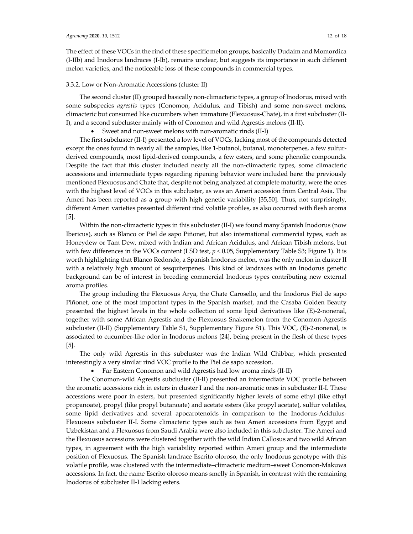The effect of these VOCs in the rind of these specific melon groups, basically Dudaim and Momordica (I‐IIb) and Inodorus landraces (I‐Ib), remains unclear, but suggests its importance in such different melon varieties, and the noticeable loss of these compounds in commercial types.

## 3.3.2. Low or Non‐Aromatic Accessions (cluster II)

The second cluster (II) grouped basically non‐climacteric types, a group of Inodorus, mixed with some subspecies *agrestis* types (Conomon, Acidulus, and Tibish) and some non-sweet melons, climacteric but consumed like cucumbers when immature (Flexuosus‐Chate), in a first subcluster (II‐ I), and a second subcluster mainly with of Conomon and wild Agrestis melons (II‐II).

Sweet and non‐sweet melons with non‐aromatic rinds (II‐I)

The first subcluster (II-I) presented a low level of VOCs, lacking most of the compounds detected except the ones found in nearly all the samples, like 1-butanol, butanal, monoterpenes, a few sulfurderived compounds, most lipid‐derived compounds, a few esters, and some phenolic compounds. Despite the fact that this cluster included nearly all the non‐climacteric types, some climacteric accessions and intermediate types regarding ripening behavior were included here: the previously mentioned Flexuosus and Chate that, despite not being analyzed at complete maturity, were the ones with the highest level of VOCs in this subcluster, as was an Ameri accession from Central Asia. The Ameri has been reported as a group with high genetic variability [35,50]. Thus, not surprisingly, different Ameri varieties presented different rind volatile profiles, as also occurred with flesh aroma [5].

Within the non‐climacteric types in this subcluster (II‐I) we found many Spanish Inodorus (now Ibericus), such as Blanco or Piel de sapo Piñonet, but also international commercial types, such as Honeydew or Tam Dew, mixed with Indian and African Acidulus, and African Tibish melons, but with few differences in the VOCs content (LSD test, *p <* 0.05, Supplementary Table S3; Figure 1). It is worth highlighting that Blanco Redondo, a Spanish Inodorus melon, was the only melon in cluster II with a relatively high amount of sesquiterpenes. This kind of landraces with an Inodorus genetic background can be of interest in breeding commercial Inodorus types contributing new external aroma profiles.

The group including the Flexuosus Arya, the Chate Carosello, and the Inodorus Piel de sapo Piñonet, one of the most important types in the Spanish market, and the Casaba Golden Beauty presented the highest levels in the whole collection of some lipid derivatives like (E)‐2‐nonenal, together with some African Agrestis and the Flexuosus Snakemelon from the Conomon‐Agrestis subcluster (II‐II) (Supplementary Table S1, Supplementary Figure S1). This VOC, (E)‐2‐nonenal, is associated to cucumber‐like odor in Inodorus melons [24], being present in the flesh of these types [5].

The only wild Agrestis in this subcluster was the Indian Wild Chibbar, which presented interestingly a very similar rind VOC profile to the Piel de sapo accession.

Far Eastern Conomon and wild Agrestis had low aroma rinds (II‐II)

The Conomon‐wild Agrestis subcluster (II‐II) presented an intermediate VOC profile between the aromatic accessions rich in esters in cluster I and the non-aromatic ones in subcluster II-I. These accessions were poor in esters, but presented significantly higher levels of some ethyl (like ethyl propanoate), propyl (like propyl butanoate) and acetate esters (like propyl acetate), sulfur volatiles, some lipid derivatives and several apocarotenoids in comparison to the Inodorus-Acidulus Flexuosus subcluster II‐I. Some climacteric types such as two Ameri accessions from Egypt and Uzbekistan and a Flexuosus from Saudi Arabia were also included in this subcluster. The Ameri and the Flexuosus accessions were clustered together with the wild Indian Callosus and two wild African types, in agreement with the high variability reported within Ameri group and the intermediate position of Flexuosus. The Spanish landrace Escrito oloroso, the only Inodorus genotype with this volatile profile, was clustered with the intermediate–climacteric medium–sweet Conomon‐Makuwa accessions. In fact, the name Escrito oloroso means smelly in Spanish, in contrast with the remaining Inodorus of subcluster II‐I lacking esters.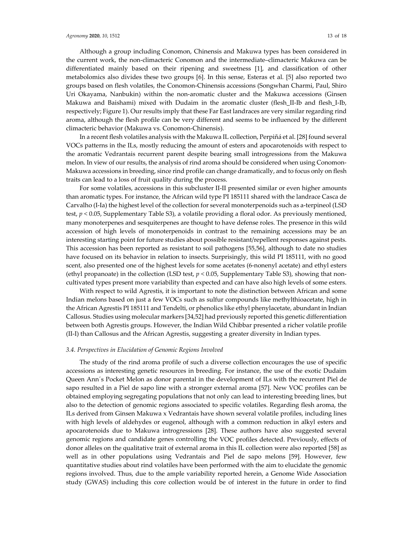Although a group including Conomon, Chinensis and Makuwa types has been considered in the current work, the non‐climacteric Conomon and the intermediate–climacteric Makuwa can be differentiated mainly based on their ripening and sweetness [1], and classification of other metabolomics also divides these two groups [6]. In this sense, Esteras et al. [5] also reported two groups based on flesh volatiles, the Conomon‐Chinensis accessions (Songwhan Charmi, Paul, Shiro Uri Okayama, Nanbukin) within the non‐aromatic cluster and the Makuwa accessions (Ginsen Makuwa and Baishami) mixed with Dudaim in the aromatic cluster (flesh II‐Ib and flesh\_I‐Ib, respectively; Figure 1). Our results imply that these Far East landraces are very similar regarding rind aroma, although the flesh profile can be very different and seems to be influenced by the different climacteric behavior (Makuwa vs. Conomon‐Chinensis).

In a recent flesh volatiles analysis with the Makuwa IL collection, Perpiñá et al. [28] found several VOCs patterns in the ILs, mostly reducing the amount of esters and apocarotenoids with respect to the aromatic Vedrantais recurrent parent despite bearing small introgressions from the Makuwa melon. In view of our results, the analysis of rind aroma should be considered when using Conomon-Makuwa accessions in breeding, since rind profile can change dramatically, and to focus only on flesh traits can lead to a loss of fruit quality during the process.

For some volatiles, accessions in this subcluster II-II presented similar or even higher amounts than aromatic types. For instance, the African wild type PI 185111 shared with the landrace Casca de Carvalho (I‐Ia) the highest level of the collection for several monoterpenoids such as a‐terpineol (LSD test,  $p$  < 0.05, Supplementary Table S3), a volatile providing a floral odor. As previously mentioned, many monoterpenes and sesquiterpenes are thought to have defense roles. The presence in this wild accession of high levels of monoterpenoids in contrast to the remaining accessions may be an interesting starting point for future studies about possible resistant/repellent responses against pests. This accession has been reported as resistant to soil pathogens [55,56], although to date no studies have focused on its behavior in relation to insects. Surprisingly, this wild PI 185111, with no good scent, also presented one of the highest levels for some acetates (6‐nonenyl acetate) and ethyl esters (ethyl propanoate) in the collection (LSD test, *p <* 0.05, Supplementary Table S3), showing that non‐ cultivated types present more variability than expected and can have also high levels of some esters.

With respect to wild Agrestis, it is important to note the distinction between African and some Indian melons based on just a few VOCs such as sulfur compounds like methylthioacetate, high in the African Agrestis PI 185111 and Tendelti, or phenolics like ethyl phenylacetate, abundant in Indian Callosus. Studies using molecular markers [34,52] had previously reported this genetic differentiation between both Agrestis groups. However, the Indian Wild Chibbar presented a richer volatile profile (II‐I) than Callosus and the African Agrestis, suggesting a greater diversity in Indian types.

#### *3.4. Perspectives in Elucidation of Genomic Regions Involved*

The study of the rind aroma profile of such a diverse collection encourages the use of specific accessions as interesting genetic resources in breeding. For instance, the use of the exotic Dudaim Queen Ann´s Pocket Melon as donor parental in the development of ILs with the recurrent Piel de sapo resulted in a Piel de sapo line with a stronger external aroma [57]. New VOC profiles can be obtained employing segregating populations that not only can lead to interesting breeding lines, but also to the detection of genomic regions associated to specific volatiles. Regarding flesh aroma, the ILs derived from Ginsen Makuwa x Vedrantais have shown several volatile profiles, including lines with high levels of aldehydes or eugenol, although with a common reduction in alkyl esters and apocarotenoids due to Makuwa introgressions [28]. These authors have also suggested several genomic regions and candidate genes controlling the VOC profiles detected. Previously, effects of donor alleles on the qualitative trait of external aroma in this IL collection were also reported [58] as well as in other populations using Vedrantais and Piel de sapo melons [59]. However, few quantitative studies about rind volatiles have been performed with the aim to elucidate the genomic regions involved. Thus, due to the ample variability reported herein, a Genome Wide Association study (GWAS) including this core collection would be of interest in the future in order to find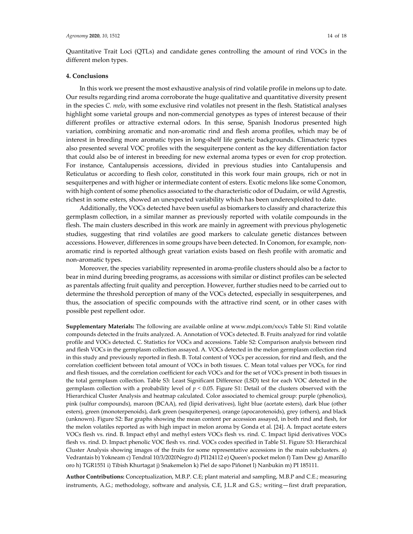Quantitative Trait Loci (QTLs) and candidate genes controlling the amount of rind VOCs in the different melon types.

## **4. Conclusions**

In this work we present the most exhaustive analysis of rind volatile profile in melons up to date. Our results regarding rind aroma corroborate the huge qualitative and quantitative diversity present in the species *C. melo*, with some exclusive rind volatiles not present in the flesh. Statistical analyses highlight some varietal groups and non‐commercial genotypes as types of interest because of their different profiles or attractive external odors. In this sense, Spanish Inodorus presented high variation, combining aromatic and non‐aromatic rind and flesh aroma profiles, which may be of interest in breeding more aromatic types in long‐shelf life genetic backgrounds. Climacteric types also presented several VOC profiles with the sesquiterpene content as the key differentiation factor that could also be of interest in breeding for new external aroma types or even for crop protection. For instance, Cantalupensis accessions, divided in previous studies into Cantalupensis and Reticulatus or according to flesh color, constituted in this work four main groups, rich or not in sesquiterpenes and with higher or intermediate content of esters. Exotic melons like some Conomon, with high content of some phenolics associated to the characteristic odor of Dudaim, or wild Agrestis, richest in some esters, showed an unexpected variability which has been underexploited to date.

Additionally, the VOCs detected have been useful as biomarkers to classify and characterize this germplasm collection, in a similar manner as previously reported with volatile compounds in the flesh. The main clusters described in this work are mainly in agreement with previous phylogenetic studies, suggesting that rind volatiles are good markers to calculate genetic distances between accessions. However, differences in some groups have been detected. In Conomon, for example, nonaromatic rind is reported although great variation exists based on flesh profile with aromatic and non‐aromatic types.

Moreover, the species variability represented in aroma-profile clusters should also be a factor to bear in mind during breeding programs, as accessions with similar or distinct profiles can be selected as parentals affecting fruit quality and perception. However, further studies need to be carried out to determine the threshold perception of many of the VOCs detected, especially in sesquiterpenes, and thus, the association of specific compounds with the attractive rind scent, or in other cases with possible pest repellent odor.

**Supplementary Materials:** The following are available online at www.mdpi.com/xxx/s Table S1: Rind volatile compounds detected in the fruits analyzed. A. Annotation of VOCs detected. B. Fruits analyzed for rind volatile profile and VOCs detected. C. Statistics for VOCs and accessions. Table S2: Comparison analysis between rind and flesh VOCs in the germplasm collection assayed. A. VOCs detected in the melon germplasm collection rind in this study and previously reported in flesh. B. Total content of VOCs per accession, for rind and flesh, and the correlation coefficient between total amount of VOCs in both tissues. C. Mean total values per VOCs, for rind and flesh tissues, and the correlation coefficient for each VOCs and for the set of VOCs present in both tissues in the total germplasm collection. Table S3: Least Significant Difference (LSD) test for each VOC detected in the germplasm collection with a probability level of *p <* 0.05. Figure S1: Detail of the clusters observed with the Hierarchical Cluster Analysis and heatmap calculated. Color associated to chemical group: purple (phenolics), pink (sulfur compounds), maroon (BCAA), red (lipid derivatives), light blue (acetate esters), dark blue (other esters), green (monoterpenoids), dark green (sesquiterpenes), orange (apocarotenoids), grey (others), and black (unknown). Figure S2: Bar graphs showing the mean content per accession assayed, in both rind and flesh, for the melon volatiles reported as with high impact in melon aroma by Gonda et al. [24]. A. Impact acetate esters VOCs flesh vs. rind. B. Impact ethyl and methyl esters VOCs flesh vs. rind. C. Impact lipid derivatives VOCs flesh vs. rind. D. Impact phenolic VOC flesh vs. rind. VOCs codes specified in Table S1. Figure S3: Hierarchical Cluster Analysis showing images of the fruits for some representative accessions in the main subclusters. a) Vedrantais b) Yokneam c) Tendral 10/3/2020Negro d) PI124112 e) Queenʹs pocket melon f) Tam Dew g) Amarillo oro h) TGR1551 i) Tibish Khurtagat j) Snakemelon k) Piel de sapo Piñonet l) Nanbukin m) PI 185111.

**Author Contributions:** Conceptualization, M.B.P. C.E; plant material and sampling, M.B.P and C.E.; measuring instruments, A.G.; methodology, software and analysis, C.E, J.L.R and G.S.; writing—first draft preparation,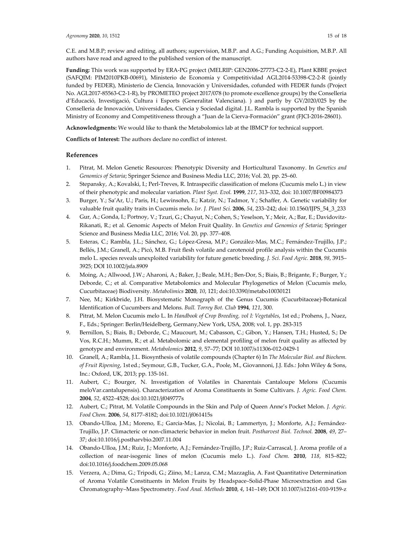C.E. and M.B.P; review and editing, all authors; supervision, M.B.P. and A.G.; Funding Acquisition, M.B.P. All authors have read and agreed to the published version of the manuscript.

**Funding:** This work was supported by ERA‐PG project (MELRIP: GEN2006‐27773‐C2‐2‐E), Plant KBBE project (SAFQIM: PIM2010PKB‐00691), Ministerio de Economía y Competitividad AGL2014‐53398‐C2‐2‐R (jointly funded by FEDER), Ministerio de Ciencia, Innovación y Universidades, cofunded with FEDER funds (Project No. AGL2017‐85563‐C2‐1‐R), by PROMETEO project 2017/078 (to promote excellence groups) by the Conselleria d'Educació, Investigació, Cultura i Esports (Generalitat Valenciana). ) and partly by GV/2020/025 by the Conselleria de Innovación, Universidades, Ciencia y Sociedad digital. J.L. Rambla is supported by the Spanish Ministry of Economy and Competitiveness through a "Juan de la Cierva‐Formación" grant (FJCI‐2016‐28601).

**Acknowledgments:** We would like to thank the Metabolomics lab at the IBMCP for technical support.

**Conflicts of Interest:** The authors declare no conflict of interest.

# **References**

- 1. Pitrat, M. Melon Genetic Resources: Phenotypic Diversity and Horticultural Taxonomy. In *Genetics and Genomics of Setaria*; Springer Science and Business Media LLC, 2016; Vol. 20, pp. 25–60.
- 2. Stepansky, A.; Kovalski, I.; Perl‐Treves, R. Intraspecific classification of melons (Cucumis melo L.) in view of their phenotypic and molecular variation. *Plant Syst. Evol.* **1999**, *217*, 313–332, doi: 10.1007/BF00984373
- 3. Burger, Y.; Sa'Ar, U.; Paris, H.; Lewinsohn, E.; Katzir, N.; Tadmor, Y.; Schaffer, A. Genetic variability for valuable fruit quality traits in Cucumis melo. *Isr. J. Plant Sci.* **2006**, *54*, 233–242; doi: 10.1560/IJPS\_54\_3\_233
- 4. Gur, A.; Gonda, I.; Portnoy, V.; Tzuri, G.; Chayut, N.; Cohen, S.; Yeselson, Y.; Meir, A.; Bar, E.; Davidovitz‐ Rikanati, R.; et al. Genomic Aspects of Melon Fruit Quality. In *Genetics and Genomics of Setaria*; Springer Science and Business Media LLC, 2016; Vol. 20, pp. 377–408.
- 5. Esteras, C.; Rambla, J.L.; Sánchez, G.; López‐Gresa, M.P.; González‐Mas, M.C.; Fernández‐Trujillo, J.P.; Bellés, J.M.; Granell, A.; Picó, M.B. Fruit flesh volatile and carotenoid profile analysis within the Cucumis melo L. species reveals unexploited variability for future genetic breeding. *J. Sci. Food Agric.* **2018**, *98*, 3915– 3925; DOI 10.1002/jsfa.8909
- 6. Moing, A.; Allwood, J.W.; Aharoni, A.; Baker, J.; Beale, M.H.; Ben-Dor, S.; Biais, B.; Brigante, F.; Burger, Y.; Deborde, C.; et al. Comparative Metabolomics and Molecular Phylogenetics of Melon (Cucumis melo, Cucurbitaceae) Biodiversity. *Metabolimics* **2020**, *10*, 121; doi:10.3390/metabo10030121
- 7. Nee, M.; Kirkbride, J.H. Biosystematic Monograph of the Genus Cucumis (Cucurbitaceae)‐Botanical Identification of Cucumbers and Melons. *Bull. Torrey Bot. Club* **1994**, *121*, 300.
- 8. Pitrat, M. Melon Cucumis melo L. In *Handbook of Crop Breeding, vol I: Vegetables*, 1st ed.; Prohens, J., Nuez, F., Eds.; Springer: Berlin/Heidelberg, Germany,New York, USA, 2008; vol. 1, pp. 283‐315
- 9. Bernillon, S.; Biais, B.; Deborde, C.; Maucourt, M.; Cabasson, C.; Gibon, Y.; Hansen, T.H.; Husted, S.; De Vos, R.C.H.; Mumm, R.; et al. Metabolomic and elemental profiling of melon fruit quality as affected by genotype and environment. *Metabolomics* **2012**, *9*, 57–77; DOI 10.1007/s11306‐012‐0429‐1
- 10. Granell, A.; Rambla, J.L. Biosynthesis of volatile compounds (Chapter 6) In *The Molecular Biol. and Biochem. of Fruit Ripening*, 1st ed.; Seymour, G.B., Tucker, G.A., Poole, M., Giovannoni, J.J. Eds.: John Wiley & Sons, Inc.: Oxford, UK, 2013; pp. 135‐161.
- 11. Aubert, C.; Bourger, N. Investigation of Volatiles in Charentais Cantaloupe Melons (Cucumis meloVar.cantalupensis). Characterization of Aroma Constituents in Some Cultivars. *J. Agric. Food Chem.* **2004**, *52*, 4522–4528; doi:10.1021/jf049777s
- 12. Aubert, C.; Pitrat, M. Volatile Compounds in the Skin and Pulp of Queen Anne's Pocket Melon. *J. Agric. Food Chem.* **2006**, *54*, 8177–8182; doi:10.1021/jf061415s
- 13. Obando-Ulloa, J.M.; Moreno, E.; Garcia-Mas, J.; Nicolai, B.; Lammertyn, J.; Monforte, A.J.; Fernández-Trujillo, J.P. Climacteric or non‐climacteric behavior in melon fruit. *Postharvest Biol. Technol.* **2008**, *49*, 27– 37; doi:10.1016/j.postharvbio.2007.11.004
- 14. Obando‐Ulloa, J.M.; Ruiz, J.; Monforte, A.J.; Fernández‐Trujillo, J.P.; Ruiz‐Carrascal, J. Aroma profile of a collection of near‐isogenic lines of melon (Cucumis melo L.). *Food Chem.* **2010**, *118*, 815–822; doi:10.1016/j.foodchem.2009.05.068
- 15. Verzera, A.; Dima, G.; Tripodi, G.; Ziino, M.; Lanza, C.M.; Mazzaglia, A. Fast Quantitative Determination of Aroma Volatile Constituents in Melon Fruits by Headspace–Solid‐Phase Microextraction and Gas Chromatography–Mass Spectrometry. *Food Anal. Methods* **2010**, *4*, 141–149; DOI 10.1007/s12161‐010‐9159‐z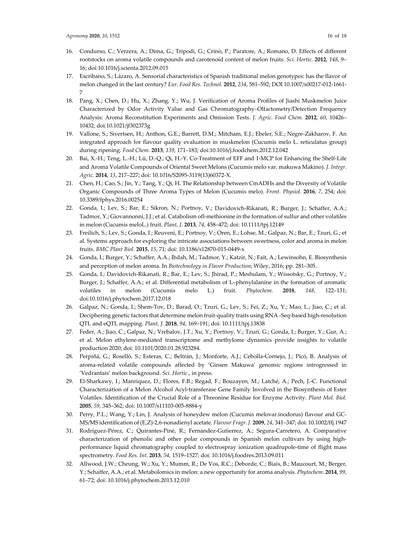- 16. Condurso, C.; Verzera, A.; Dima, G.; Tripodi, G.; Crinò, P.; Paratore, A.; Romano, D. Effects of different rootstocks on aroma volatile compounds and carotenoid content of melon fruits. *Sci. Hortic.* **2012**, *148*, 9– 16; doi:10.1016/j.scienta.2012.09.015
- 17. Escribano, S.; Lázaro, A. Sensorial characteristics of Spanish traditional melon genotypes: has the flavor of melon changed in the last century? *Eur. Food Res. Technol.* **2012**, *234*, 581–592; DOI 10.1007/s00217‐012‐1661‐ 7
- 18. Pang, X.; Chen, D.; Hu, X.; Zhang, Y.; Wu, J. Verification of Aroma Profiles of Jiashi Muskmelon Juice Characterized by Odor Activity Value and Gas Chromatography–Olfactometry/Detection Frequency Analysis: Aroma Reconstitution Experiments and Omission Tests. *J. Agric. Food Chem.* **2012**, *60*, 10426– 10432; doi:10.1021/jf302373g
- 19. Vallone, S.; Sivertsen, H.; Anthon, G.E.; Barrett, D.M.; Mitcham, E.J.; Ebeler, S.E.; Negre‐Zakharov, F. An integrated approach for flavour quality evaluation in muskmelon (Cucumis melo L. reticulatus group) during ripening. *Food Chem.* **2013**, *139*, 171–183; doi:10.1016/j.foodchem.2012.12.042
- 20. Bai, X.‐H.; Teng, L.‐H.; Lü, D.‐Q.; Qi, H.‐Y. Co‐Treatment of EFF and 1‐MCP for Enhancing the Shelf‐Life and Aroma Volatile Compounds of Oriental Sweet Melons (Cucumis melo var. makuwa Makino). *J. Integr. Agric.* **2014**, *13*, 217–227; doi: 10.1016/S2095‐3119(13)60372‐X.
- 21. Chen, H.; Cao, S.; Jin, Y.; Tang, Y.; Qi, H. The Relationship between CmADHs and the Diversity of Volatile Organic Compounds of Three Aroma Types of Melon (Cucumis melo). *Front. Physiol.* **2016**, *7*, 254; doi: 10.3389/fphys.2016.00254
- 22. Gonda, I.; Lev, S.; Bar, E.; Sikron, N.; Portnoy, V.; Davidovich‐Rikanati, R.; Burger, J.; Schaffer, A.A.; Tadmor, Y.; Giovannonni, J.J.; et al. Catabolism ofl‐methionine in the formation of sulfur and other volatiles in melon (Cucumis meloL.) fruit. *Plant, J.* **2013**, *74*, 458–472; doi: 10.1111/tpj.12149
- 23. Freilich, S.; Lev, S.; Gonda, I.; Reuveni, E.; Portnoy, V.; Oren, E.; Lohse, M.; Galpaz, N.; Bar, E.; Tzuri, G.; et al. Systems approach for exploring the intricate associations between sweetness, color and aroma in melon fruits. *BMC Plant Biol.* **2015**, *15*, 71; doi: 10.1186/s12870‐015‐0449‐x
- 24. Gonda, I.; Burger, Y.; Schaffer, A.A.; Ibdah, M.; Tadmor, Y.; Katzir, N.; Fait, A.; Lewinsohn, E. Biosynthesis and perception of melon aroma. In *Biotechnology in Flavor Production*; Wiley, 2016; pp. 281–305.
- 25. Gonda, I.; Davidovich‐Rikanati, R.; Bar, E.; Lev, S.; Jhirad, P.; Meshulam, Y.; Wissotsky, G.; Portnoy, V.; Burger, J.; Schaffer, A.A.; et al. Differential metabolism of L–phenylalanine in the formation of aromatic volatiles in melon (Cucumis melo L.) fruit. *Phytochem.* **2018**, *148*, 122–131; doi:10.1016/j.phytochem.2017.12.018
- 26. Galpaz, N.; Gonda, I.; Shem‐Tov, D.; Barad, O.; Tzuri, G.; Lev, S.; Fei, Z.; Xu, Y.; Mao, L.; Jiao, C.; et al. Deciphering genetic factors that determine melon fruit-quality traits using RNA -Seq-based high-resolution QTL and eQTL mapping. *Plant, J.* **2018**, *94*, 169–191; doi: 10.1111/tpj.13838
- 27. Feder, A.; Jiao, C.; Galpaz, N.; Vrebalov, J.T.; Xu, Y.; Portnoy, V.; Tzuri, G.; Gonda, I.; Burger, Y.; Gur, A.; et al. Melon ethylene‐mediated transcriptome and methylome dynamics provide insights to volatile production 2020; doi: 10.1101/2020.01.28.923284.
- 28. Perpiñá, G.; Roselló, S.; Esteras, C.; Beltrán, J.; Monforte, A.J.; Cebolla‐Cornejo, J.; Picó, B. Analysis of aroma‐related volatile compounds affected by 'Ginsen Makuwa' genomic regions introgressed in 'Vedrantais' melon background. *Sci. Hortic.*, in press.
- 29. El‐Sharkawy, I.; Manriquez, D.; Flores, F.B.; Regad, F.; Bouzayen, M.; Latché, A.; Pech, J.‐C. Functional Characterization of a Melon Alcohol Acyl‐transferase Gene Family Involved in the Biosynthesis of Ester Volatiles. Identification of the Crucial Role of a Threonine Residue for Enzyme Activity. *Plant Mol. Biol.* **2005**, *59*, 345–362; doi: 10.1007/s11103‐005‐8884‐y
- 30. Perry, P.L.; Wang, Y.; Lin, J. Analysis of honeydew melon (Cucumis melovar.inodorus) flavour and GC‐ MS/MS identification of (E,Z)‐2,6‐nonadienyl acetate. *Flavour Fragr. J.* **2009**, *24*, 341–347; doi: 10.1002/ffj.1947
- 31. Rodríguez‐Pérez, C.; Quirantes‐Piné, R.; Fernandez‐Gutierrez, A.; Segura‐Carretero, A. Comparative characterization of phenolic and other polar compounds in Spanish melon cultivars by using highperformance liquid chromatography coupled to electrospray ionization quadrupole‐time of flight mass spectrometry. *Food Res. Int.* **2013**, *54*, 1519–1527; doi: 10.1016/j.foodres.2013.09.011
- 32. Allwood, J.W.; Cheung, W.; Xu, Y.; Mumm, R.; De Vos, R.C.; Deborde, C.; Biais, B.; Maucourt, M.; Berger, Y.; Schaffer, A.A.; et al. Metabolomics in melon: a new opportunity for aroma analysis. *Phytochem.* **2014**, *99*, 61–72; doi: 10.1016/j.phytochem.2013.12.010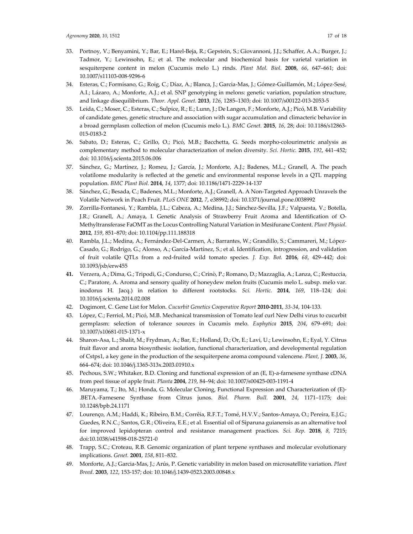- 33. Portnoy, V.; Benyamini, Y.; Bar, E.; Harel‐Beja, R.; Gepstein, S.; Giovannoni, J.J.; Schaffer, A.A.; Burger, J.; Tadmor, Y.; Lewinsohn, E.; et al. The molecular and biochemical basis for varietal variation in sesquiterpene content in melon (Cucumis melo L.) rinds. *Plant Mol. Biol.* **2008**, *66*, 647–661; doi: 10.1007/s11103‐008‐9296‐6
- 34. Esteras, C.; Formisano, G.; Roig, C.; Díaz, A.; Blanca, J.; Garcia‐Mas, J.; Gómez‐Guillamón, M.; López‐Sesé, A.I.; Lázaro, A.; Monforte, A.J.; et al. SNP genotyping in melons: genetic variation, population structure, and linkage disequilibrium. *Theor. Appl. Genet.* **2013**, *126*, 1285–1303; doi: 10.1007/s00122‐013‐2053‐5
- 35. Leida, C.; Moser, C.; Esteras, C.; Sulpice, R.; E.; Lunn, J.; De Langen, F.; Monforte, A.J.; Picó, M.B. Variability of candidate genes, genetic structure and association with sugar accumulation and climacteric behavior in a broad germplasm collection of melon (Cucumis melo L.). *BMC Genet.* **2015**, *16*, 28; doi: 10.1186/s12863‐ 015‐0183‐2
- 36. Sabato, D.; Esteras, C.; Grillo, O.; Picó, M.B.; Bacchetta, G. Seeds morpho‐colourimetric analysis as complementary method to molecular characterization of melon diversity. *Sci. Hortic.* **2015**, *192*, 441–452; doi: 10.1016/j.scienta.2015.06.006
- 37. Sánchez, G.; Martínez, J.; Romeu, J.; García, J.; Monforte, A.J.; Badenes, M.L.; Granell, A. The peach volatilome modularity is reflected at the genetic and environmental response levels in a QTL mapping population. *BMC Plant Biol.* **2014**, *14*, 1377; doi: 10.1186/1471‐2229‐14‐137
- 38. Sánchez, G.; Besada, C.; Badenes, M.L.; Monforte, A.J.; Granell, A. A Non‐Targeted Approach Unravels the Volatile Network in Peach Fruit. *PLoS ONE* **2012**, *7*, e38992; doi: 10.1371/journal.pone.0038992
- 39. Zorrilla‐Fontanesi, Y.; Rambla, J.L.; Cabeza, A.; Medina, J.J.; Sánchez‐Sevilla, J.F.; Valpuesta, V.; Botella, J.R.; Granell, A.; Amaya, I. Genetic Analysis of Strawberry Fruit Aroma and Identification of O-Methyltransferase FaOMT as the Locus Controlling Natural Variation in Mesifurane Content. *Plant Physiol.* **2012**, *159*, 851–870; doi: 10.1104/pp.111.188318
- 40. Rambla, J.L.; Medina, A.; Fernández‐Del‐Carmen, A.; Barrantes, W.; Grandillo, S.; Cammareri, M.; López‐ Casado, G.; Rodrigo, G.; Alonso, A.; García‐Martínez, S.; et al. Identification, introgression, and validation of fruit volatile QTLs from a red‐fruited wild tomato species. *J. Exp. Bot.* **2016**, *68*, 429–442; doi: 10.1093/jxb/erw455
- **41.** Verzera, A.; Dima, G.; Tripodi, G.; Condurso, C.; Crinò, P.; Romano, D.; Mazzaglia, A.; Lanza, C.; Restuccia, C.; Paratore, A. Aroma and sensory quality of honeydew melon fruits (Cucumis melo L. subsp. melo var. inodorus H. Jacq.) in relation to different rootstocks. *Sci. Hortic.* **2014**, *169*, 118–124; doi: 10.1016/j.scienta.2014.02.008
- 42. Dogimont, C. Gene List for Melon. *Cucurbit Genetics Cooperative Report* **2010‐2011**, *33‐34*, 104‐133.
- 43. López, C.; Ferriol, M.; Picó, M.B. Mechanical transmission of Tomato leaf curl New Delhi virus to cucurbit germplasm: selection of tolerance sources in Cucumis melo. *Euphytica* **2015**, *204*, 679–691; doi: 10.1007/s10681‐015‐1371‐x
- 44. Sharon‐Asa, L.; Shalit, M.; Frydman, A.; Bar, E.; Holland, D.; Or, E.; Lavi, U.; Lewinsohn, E.; Eyal, Y. Citrus fruit flavor and aroma biosynthesis: isolation, functional characterization, and developmental regulation of Cstps1, a key gene in the production of the sesquiterpene aroma compound valencene. *Plant, J.* **2003**, *36*, 664–674; doi: 10.1046/j.1365‐313x.2003.01910.x
- 45. Pechous, S.W.; Whitaker, B.D. Cloning and functional expression of an (E, E)‐a‐farnesene synthase cDNA from peel tissue of apple fruit. *Planta* **2004**, *219*, 84–94; doi: 10.1007/s00425‐003‐1191‐4
- 46. Maruyama, T.; Ito, M.; Honda, G. Molecular Cloning, Functional Expression and Characterization of (E)‐ .BETA.‐Farnesene Synthase from Citrus junos. *Biol. Pharm. Bull.* **2001**, *24*, 1171–1175; doi: 10.1248/bpb.24.1171
- 47. Lourenço, A.M.; Haddi, K.; Ribeiro, B.M.; Corrêia, R.F.T.; Tomé, H.V.V.; Santos‐Amaya, O.; Pereira, E.J.G.; Guedes, R.N.C.; Santos, G.R.; Oliveira, E.E.; et al. Essential oil of Siparuna guianensis as an alternative tool for improved lepidopteran control and resistance management practices. *Sci. Rep.* **2018**, *8*, 7215; doi:10.1038/s41598‐018‐25721‐0
- 48. Trapp, S.C.; Croteau, R.B. Genomic organization of plant terpene synthases and molecular evolutionary implications. *Genet.* **2001**, *158*, 811–832.
- 49. Monforte, A.J.; Garcia‐Mas, J.; Arús, P. Genetic variability in melon based on microsatellite variation. *Plant Breed*. **2003**, *122*, 153‐157; doi: 10.1046/j.1439‐0523.2003.00848.x